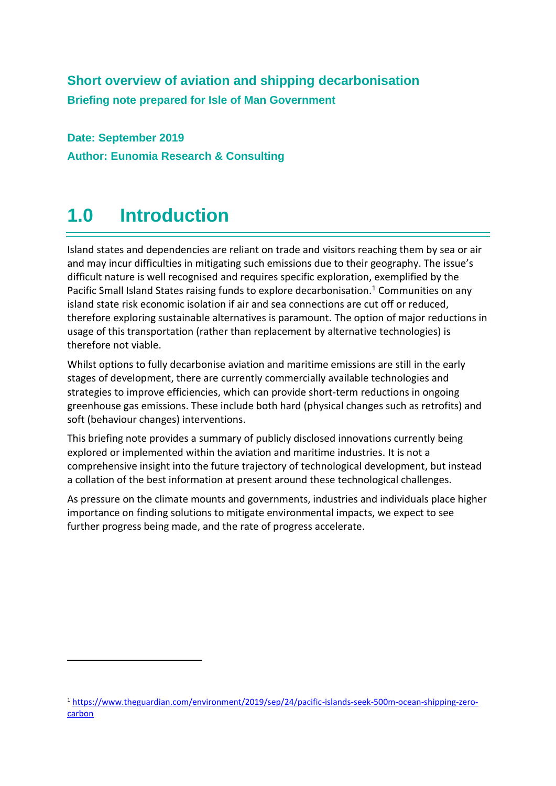## **Short overview of aviation and shipping decarbonisation Briefing note prepared for Isle of Man Government**

**Date: September 2019 Author: Eunomia Research & Consulting**

# **1.0 Introduction**

Island states and dependencies are reliant on trade and visitors reaching them by sea or air and may incur difficulties in mitigating such emissions due to their geography. The issue's difficult nature is well recognised and requires specific exploration, exemplified by the Pacific Small Island States raising funds to explore decarbonisation.<sup>1</sup> Communities on any island state risk economic isolation if air and sea connections are cut off or reduced, therefore exploring sustainable alternatives is paramount. The option of major reductions in usage of this transportation (rather than replacement by alternative technologies) is therefore not viable.

Whilst options to fully decarbonise aviation and maritime emissions are still in the early stages of development, there are currently commercially available technologies and strategies to improve efficiencies, which can provide short-term reductions in ongoing greenhouse gas emissions. These include both hard (physical changes such as retrofits) and soft (behaviour changes) interventions.

This briefing note provides a summary of publicly disclosed innovations currently being explored or implemented within the aviation and maritime industries. It is not a comprehensive insight into the future trajectory of technological development, but instead a collation of the best information at present around these technological challenges.

As pressure on the climate mounts and governments, industries and individuals place higher importance on finding solutions to mitigate environmental impacts, we expect to see further progress being made, and the rate of progress accelerate.

<sup>1</sup> [https://www.theguardian.com/environment/2019/sep/24/pacific-islands-seek-500m-ocean-shipping-zero](https://www.theguardian.com/environment/2019/sep/24/pacific-islands-seek-500m-ocean-shipping-zero-carbon)[carbon](https://www.theguardian.com/environment/2019/sep/24/pacific-islands-seek-500m-ocean-shipping-zero-carbon)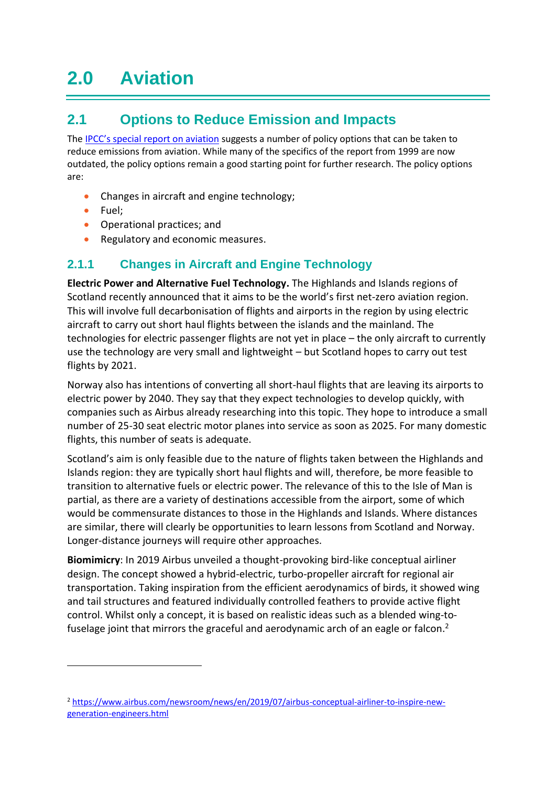# **2.0 Aviation**

## **2.1 Options to Reduce Emission and Impacts**

The [IPCC's special report on aviation](https://www.ipcc.ch/site/assets/uploads/2018/03/av-en-1.pdf) suggests a number of policy options that can be taken to reduce emissions from aviation. While many of the specifics of the report from 1999 are now outdated, the policy options remain a good starting point for further research. The policy options are:

- Changes in aircraft and engine technology;
- Fuel;
- Operational practices; and
- Regulatory and economic measures.

#### **2.1.1 Changes in Aircraft and Engine Technology**

**Electric Power and Alternative Fuel Technology.** The Highlands and Islands regions of Scotland recently announced that it aims to be the world's first net-zero aviation region. This will involve full decarbonisation of flights and airports in the region by using electric aircraft to carry out short haul flights between the islands and the mainland. The technologies for electric passenger flights are not yet in place – the only aircraft to currently use the technology are very small and lightweight – but Scotland hopes to carry out test flights by 2021.

Norway also has intentions of converting all short-haul flights that are leaving its airports to electric power by 2040. They say that they expect technologies to develop quickly, with companies such as Airbus already researching into this topic. They hope to introduce a small number of 25-30 seat electric motor planes into service as soon as 2025. For many domestic flights, this number of seats is adequate.

Scotland's aim is only feasible due to the nature of flights taken between the Highlands and Islands region: they are typically short haul flights and will, therefore, be more feasible to transition to alternative fuels or electric power. The relevance of this to the Isle of Man is partial, as there are a variety of destinations accessible from the airport, some of which would be commensurate distances to those in the Highlands and Islands. Where distances are similar, there will clearly be opportunities to learn lessons from Scotland and Norway. Longer-distance journeys will require other approaches.

**Biomimicry**: In 2019 Airbus unveiled a thought-provoking bird-like conceptual airliner design. The concept showed a hybrid-electric, turbo-propeller aircraft for regional air transportation. Taking inspiration from the efficient aerodynamics of birds, it showed wing and tail structures and featured individually controlled feathers to provide active flight control. Whilst only a concept, it is based on realistic ideas such as a blended wing-tofuselage joint that mirrors the graceful and aerodynamic arch of an eagle or falcon.<sup>2</sup>

<sup>2</sup> [https://www.airbus.com/newsroom/news/en/2019/07/airbus-conceptual-airliner-to-inspire-new](https://www.airbus.com/newsroom/news/en/2019/07/airbus-conceptual-airliner-to-inspire-new-generation-engineers.html)[generation-engineers.html](https://www.airbus.com/newsroom/news/en/2019/07/airbus-conceptual-airliner-to-inspire-new-generation-engineers.html)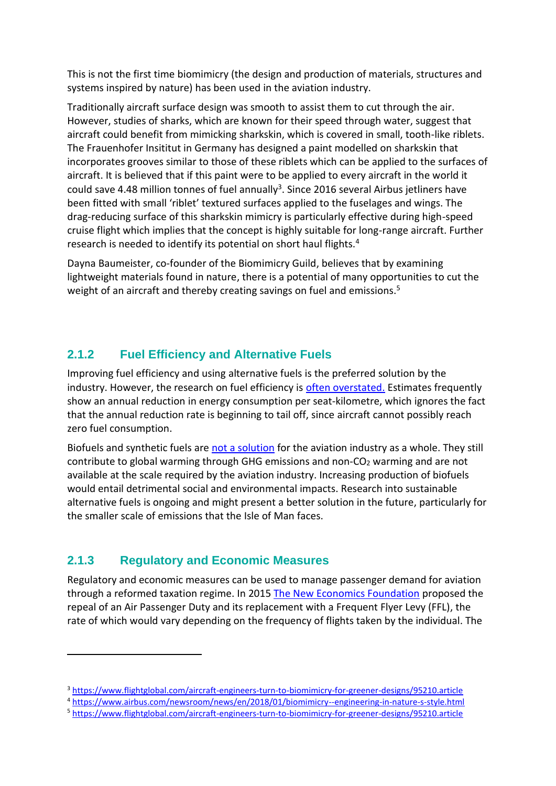This is not the first time biomimicry (the design and production of materials, structures and systems inspired by nature) has been used in the aviation industry.

Traditionally aircraft surface design was smooth to assist them to cut through the air. However, studies of sharks, which are known for their speed through water, suggest that aircraft could benefit from mimicking sharkskin, which is covered in small, tooth-like riblets. The Frauenhofer Insititut in Germany has designed a paint modelled on sharkskin that incorporates grooves similar to those of these riblets which can be applied to the surfaces of aircraft. It is believed that if this paint were to be applied to every aircraft in the world it could save 4.48 million tonnes of fuel annually<sup>3</sup>. Since 2016 several Airbus jetliners have been fitted with small 'riblet' textured surfaces applied to the fuselages and wings. The drag-reducing surface of this sharkskin mimicry is particularly effective during high-speed cruise flight which implies that the concept is highly suitable for long-range aircraft. Further research is needed to identify its potential on short haul flights.<sup>4</sup>

Dayna Baumeister, co-founder of the Biomimicry Guild, believes that by examining lightweight materials found in nature, there is a potential of many opportunities to cut the weight of an aircraft and thereby creating savings on fuel and emissions.<sup>5</sup>

#### **2.1.2 Fuel Efficiency and Alternative Fuels**

Improving fuel efficiency and using alternative fuels is the preferred solution by the industry. However, the research on fuel efficiency is [often overstated.](https://www.transportenvironment.org/sites/te/files/media/2005-12_nlr_aviation_fuel_efficiency.pdf) Estimates frequently show an annual reduction in energy consumption per seat-kilometre, which ignores the fact that the annual reduction rate is beginning to tail off, since aircraft cannot possibly reach zero fuel consumption.

Biofuels and synthetic fuels are [not a solution](https://unfccc.int/sites/default/files/resource/295_Stay%20Grounded%20submission%20to%20Talanoa%20Dialogue_%28Final%29_18-Oct-2018.pdf) for the aviation industry as a whole. They still contribute to global warming through GHG emissions and non-CO<sub>2</sub> warming and are not available at the scale required by the aviation industry. Increasing production of biofuels would entail detrimental social and environmental impacts. Research into sustainable alternative fuels is ongoing and might present a better solution in the future, particularly for the smaller scale of emissions that the Isle of Man faces.

#### **2.1.3 Regulatory and Economic Measures**

Regulatory and economic measures can be used to manage passenger demand for aviation through a reformed taxation regime. In 2015 [The New Economics Foundation](https://neweconomics.org/uploads/files/58e9fad2705500ed8d_hzm6yx1zf.pdf) proposed the repeal of an Air Passenger Duty and its replacement with a Frequent Flyer Levy (FFL), the rate of which would vary depending on the frequency of flights taken by the individual. The

<sup>3</sup> <https://www.flightglobal.com/aircraft-engineers-turn-to-biomimicry-for-greener-designs/95210.article>

<sup>4</sup> <https://www.airbus.com/newsroom/news/en/2018/01/biomimicry--engineering-in-nature-s-style.html>

<sup>5</sup> <https://www.flightglobal.com/aircraft-engineers-turn-to-biomimicry-for-greener-designs/95210.article>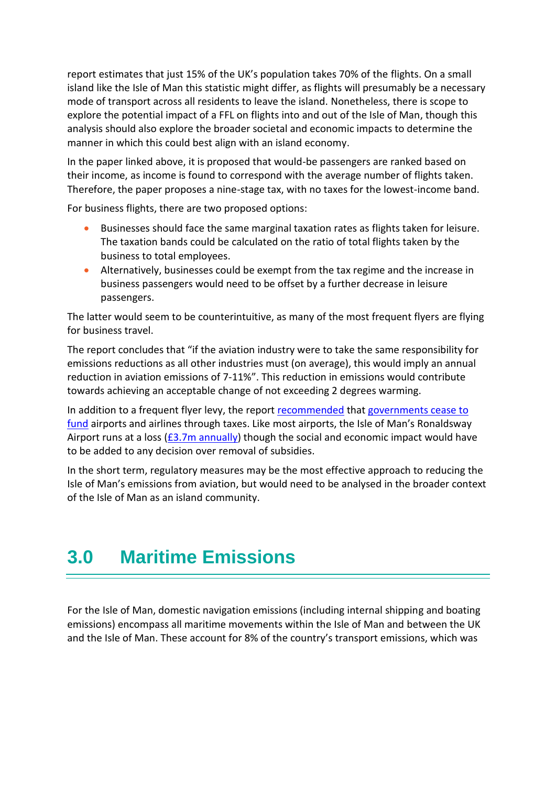report estimates that just 15% of the UK's population takes 70% of the flights. On a small island like the Isle of Man this statistic might differ, as flights will presumably be a necessary mode of transport across all residents to leave the island. Nonetheless, there is scope to explore the potential impact of a FFL on flights into and out of the Isle of Man, though this analysis should also explore the broader societal and economic impacts to determine the manner in which this could best align with an island economy.

In the paper linked above, it is proposed that would-be passengers are ranked based on their income, as income is found to correspond with the average number of flights taken. Therefore, the paper proposes a nine-stage tax, with no taxes for the lowest-income band.

For business flights, there are two proposed options:

- Businesses should face the same marginal taxation rates as flights taken for leisure. The taxation bands could be calculated on the ratio of total flights taken by the business to total employees.
- Alternatively, businesses could be exempt from the tax regime and the increase in business passengers would need to be offset by a further decrease in leisure passengers.

The latter would seem to be counterintuitive, as many of the most frequent flyers are flying for business travel.

The report concludes that "if the aviation industry were to take the same responsibility for emissions reductions as all other industries must (on average), this would imply an annual reduction in aviation emissions of 7-11%". This reduction in emissions would contribute towards achieving an acceptable change of not exceeding 2 degrees warming.

In addition to a frequent flyer levy, the report [recommended](https://www.isonomia.co.uk/emitted-but-omitted-runaway-runways/) that governments cease to [fund](http://www.airportwatch.org.uk/2014/02/the-truth-behind-not-so-cheap-flights-the-immense-annual-state-subsidies-to-small-airports-cheap-airlines/) airports and airlines through taxes. Like most airports, the Isle of Man's Ronaldsway Airport runs at a loss  $(E3.7m$  annually) though the social and economic impact would have to be added to any decision over removal of subsidies.

In the short term, regulatory measures may be the most effective approach to reducing the Isle of Man's emissions from aviation, but would need to be analysed in the broader context of the Isle of Man as an island community.

## **3.0 Maritime Emissions**

For the Isle of Man, domestic navigation emissions (including internal shipping and boating emissions) encompass all maritime movements within the Isle of Man and between the UK and the Isle of Man. These account for 8% of the country's transport emissions, which was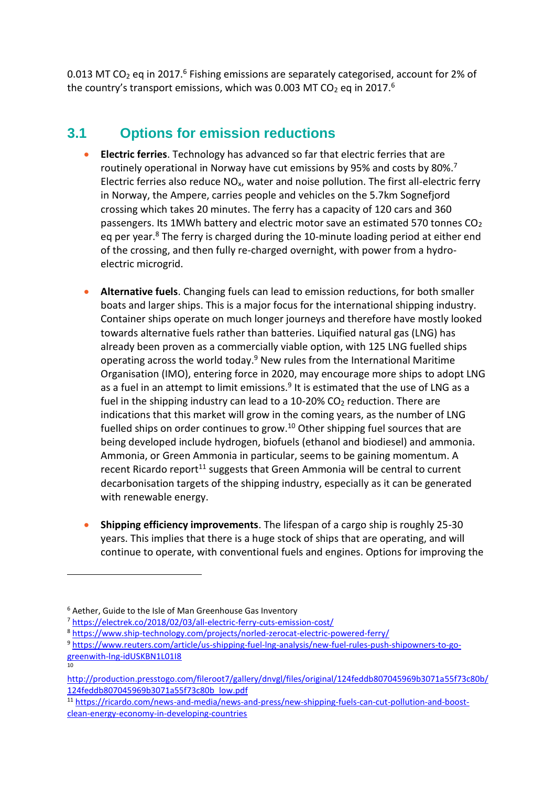<span id="page-4-0"></span>0.013 MT CO<sub>2</sub> eq in 2017.<sup>6</sup> Fishing emissions are separately categorised, account for 2% of the country's transport emissions, which was 0[.](#page-4-0)003 MT CO<sub>2</sub> eq in 2017.<sup>6</sup>

### **3.1 Options for emission reductions**

- **Electric ferries**. Technology has advanced so far that electric ferries that are routinely operational in Norway have cut emissions by 95% and costs by 80%.<sup>7</sup> Electric ferries also reduce  $NO<sub>x</sub>$ , water and noise pollution. The first all-electric ferry in Norway, the Ampere, carries people and vehicles on the 5.7km Sognefjord crossing which takes 20 minutes. The ferry has a capacity of 120 cars and 360 passengers. Its 1MWh battery and electric motor save an estimated 570 tonnes  $CO<sub>2</sub>$ eq per year. $8$  The ferry is charged during the 10-minute loading period at either end of the crossing, and then fully re-charged overnight, with power from a hydroelectric microgrid.
- <span id="page-4-1"></span>• **Alternative fuels**. Changing fuels can lead to emission reductions, for both smaller boats and larger ships. This is a major focus for the international shipping industry. Container ships operate on much longer journeys and therefore have mostly looked towards alternative fuels rather than batteries. Liquified natural gas (LNG) has already been proven as a commercially viable option, with 125 LNG fuelled ships operating across the world today.<sup>[9](#page-4-1)</sup> New rules from the International Maritime Organisation (IMO), entering force in 2020, may encourage more ships to adopt LNG as a fuel in an attempt to limit emissions.<sup>9</sup> It is estimated that the use of LNG as a fuel in the shipping industry can lead to a  $10-20\%$  CO<sub>2</sub> reduction. There are indications that this market will grow in the coming years, as the number of LNG fuelled ships on order continues to grow.<sup>10</sup> Other shipping fuel sources that are being developed include hydrogen, biofuels (ethanol and biodiesel) and ammonia. Ammonia, or Green Ammonia in particular, seems to be gaining momentum. A recent Ricardo report<sup>11</sup> suggests that Green Ammonia will be central to current decarbonisation targets of the shipping industry, especially as it can be generated with renewable energy.
- **Shipping efficiency improvements**. The lifespan of a cargo ship is roughly 25-30 years. This implies that there is a huge stock of ships that are operating, and will continue to operate, with conventional fuels and engines. Options for improving the

<sup>6</sup> Aether, Guide to the Isle of Man Greenhouse Gas Inventory

<sup>7</sup> <https://electrek.co/2018/02/03/all-electric-ferry-cuts-emission-cost/>

<sup>8</sup> <https://www.ship-technology.com/projects/norled-zerocat-electric-powered-ferry/>

<sup>9</sup> [https://www.reuters.com/article/us-shipping-fuel-lng-analysis/new-fuel-rules-push-shipowners-to-go-](https://www.reuters.com/article/us-shipping-fuel-lng-analysis/new-fuel-rules-push-shipowners-to-go-greenwith-lng-idUSKBN1L01I8)

[greenwith-lng-idUSKBN1L01I8](https://www.reuters.com/article/us-shipping-fuel-lng-analysis/new-fuel-rules-push-shipowners-to-go-greenwith-lng-idUSKBN1L01I8)

 $\frac{1}{10}$ 

[http://production.presstogo.com/fileroot7/gallery/dnvgl/files/original/124feddb807045969b3071a55f73c80b/](http://production.presstogo.com/fileroot7/gallery/dnvgl/files/original/124feddb807045969b3071a55f73c80b/124feddb807045969b3071a55f73c80b_low.pdf) [124feddb807045969b3071a55f73c80b\\_low.pdf](http://production.presstogo.com/fileroot7/gallery/dnvgl/files/original/124feddb807045969b3071a55f73c80b/124feddb807045969b3071a55f73c80b_low.pdf)

<sup>11</sup> [https://ricardo.com/news-and-media/news-and-press/new-shipping-fuels-can-cut-pollution-and-boost](https://ricardo.com/news-and-media/news-and-press/new-shipping-fuels-can-cut-pollution-and-boost-clean-energy-economy-in-developing-countries)[clean-energy-economy-in-developing-countries](https://ricardo.com/news-and-media/news-and-press/new-shipping-fuels-can-cut-pollution-and-boost-clean-energy-economy-in-developing-countries)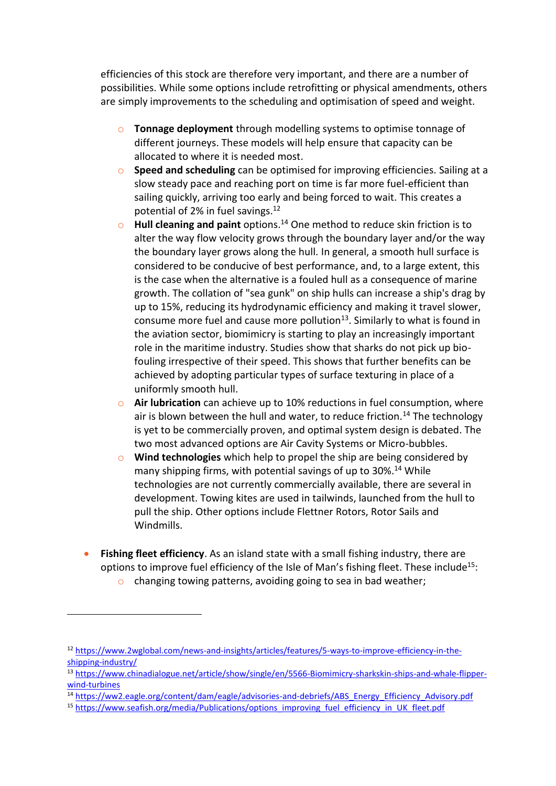efficiencies of this stock are therefore very important, and there are a number of possibilities. While some options include retrofitting or physical amendments, others are simply improvements to the scheduling and optimisation of speed and weight.

- o **Tonnage deployment** through modelling systems to optimise tonnage of different journeys. These models will help ensure that capacity can be allocated to where it is needed most.
- o **Speed and scheduling** can be optimised for improving efficiencies. Sailing at a slow steady pace and reaching port on time is far more fuel-efficient than sailing quickly, arriving too early and being forced to wait. This creates a potential of 2% in fuel savings.<sup>12</sup>
- o **Hull cleaning and paint** options.[14](#page-5-0) One method to reduce skin friction is to alter the way flow velocity grows through the boundary layer and/or the way the boundary layer grows along the hull. In general, a smooth hull surface is considered to be conducive of best performance, and, to a large extent, this is the case when the alternative is a fouled hull as a consequence of marine growth. The collation of "sea gunk" on ship hulls can increase a ship's drag by up to 15%, reducing its hydrodynamic efficiency and making it travel slower, consume more fuel and cause more pollution $^{13}$ . Similarly to what is found in the aviation sector, biomimicry is starting to play an increasingly important role in the maritime industry. Studies show that sharks do not pick up biofouling irrespective of their speed. This shows that further benefits can be achieved by adopting particular types of surface texturing in place of a uniformly smooth hull.
- <span id="page-5-0"></span>o **Air lubrication** can achieve up to 10% reductions in fuel consumption, where air is blown between the hull and water, to reduce friction.<sup>14</sup> The technology is yet to be commercially proven, and optimal system design is debated. The two most advanced options are Air Cavity Systems or Micro-bubbles.
- o **Wind technologies** which help to propel the ship are being considered by many shipping firms, with potential savings of up to 30%.<sup>[14](#page-5-0)</sup> While technologies are not currently commercially available, there are several in development. Towing kites are used in tailwinds, launched from the hull to pull the ship. Other options include Flettner Rotors, Rotor Sails and Windmills.
- **Fishing fleet efficiency**. As an island state with a small fishing industry, there are options to improve fuel efficiency of the Isle of Man's fishing fleet. These include<sup>15</sup>:
	- o changing towing patterns, avoiding going to sea in bad weather;

<sup>12</sup> [https://www.2wglobal.com/news-and-insights/articles/features/5-ways-to-improve-efficiency-in-the](https://www.2wglobal.com/news-and-insights/articles/features/5-ways-to-improve-efficiency-in-the-shipping-industry/)[shipping-industry/](https://www.2wglobal.com/news-and-insights/articles/features/5-ways-to-improve-efficiency-in-the-shipping-industry/)

<sup>13</sup> [https://www.chinadialogue.net/article/show/single/en/5566-Biomimicry-sharkskin-ships-and-whale-flipper](https://www.chinadialogue.net/article/show/single/en/5566-Biomimicry-sharkskin-ships-and-whale-flipper-wind-turbines)[wind-turbines](https://www.chinadialogue.net/article/show/single/en/5566-Biomimicry-sharkskin-ships-and-whale-flipper-wind-turbines)

<sup>14</sup> [https://ww2.eagle.org/content/dam/eagle/advisories-and-debriefs/ABS\\_Energy\\_Efficiency\\_Advisory.pdf](https://ww2.eagle.org/content/dam/eagle/advisories-and-debriefs/ABS_Energy_Efficiency_Advisory.pdf)

<sup>&</sup>lt;sup>15</sup> [https://www.seafish.org/media/Publications/options\\_improving\\_fuel\\_efficiency\\_in\\_UK\\_fleet.pdf](https://www.seafish.org/media/Publications/options_improving_fuel_efficiency_in_UK_fleet.pdf)